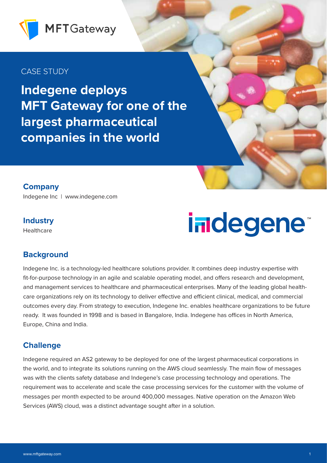

# CASE STUDY

**Indegene deploys MFT Gateway for one of the largest pharmaceutical companies in the world**

**Company** Indegene Inc | www.indegene.com

## **Industry**

**Healthcare** 

# indegene<sup>®</sup>

### **Background**

Indegene Inc. is a technology-led healthcare solutions provider. It combines deep industry expertise with fit-for-purpose technology in an agile and scalable operating model, and offers research and development, and management services to healthcare and pharmaceutical enterprises. Many of the leading global healthcare organizations rely on its technology to deliver effective and efficient clinical, medical, and commercial outcomes every day. From strategy to execution, Indegene Inc. enables healthcare organizations to be future ready. It was founded in 1998 and is based in Bangalore, India. Indegene has offices in North America, Europe, China and India.

### **Challenge**

Indegene required an AS2 gateway to be deployed for one of the largest pharmaceutical corporations in the world, and to integrate its solutions running on the AWS cloud seamlessly. The main flow of messages was with the clients safety database and Indegene's case processing technology and operations. The requirement was to accelerate and scale the case processing services for the customer with the volume of messages per month expected to be around 400,000 messages. Native operation on the Amazon Web Services (AWS) cloud, was a distinct advantage sought after in a solution.